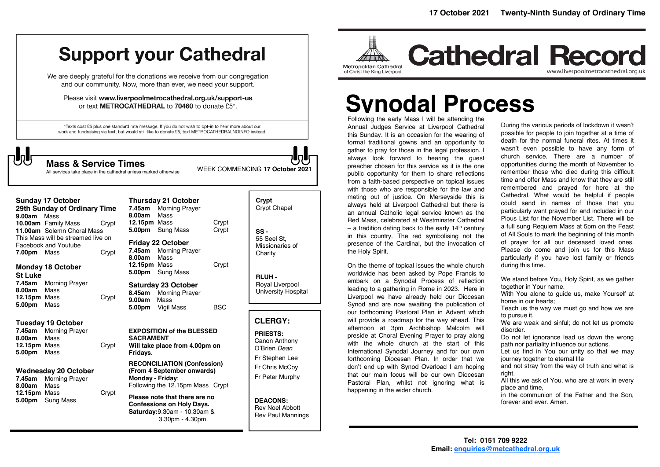**Cathedral Record** 

# **Support your Cathedral**

We are deeply grateful for the donations we receive from our congregation and our community. Now, more than ever, we need your support.

Please visit www.liverpoolmetrocathedral.org.uk/support-us or text METROCATHEDRAL to 70460 to donate £5\*.

\*Texts cost £5 plus one standard rate message. If you do not wish to opt-in to hear more about our work and fundraising via text, but would still like to donate £5, text METROCATHEDRALNOINFO instead.



**Mass & Service Times**<br>All services take place in the cathedral unless marked otherwise WEEK COMMENCING 17 October 2021

| <b>Sunday 17 October</b>                                                                                                                                           |                                      | 7.45am                                                                                                             |                         | Crypt<br><b>Crypt Chapel</b>                                                                                                                                                                                                                                                                                                                                                                 |
|--------------------------------------------------------------------------------------------------------------------------------------------------------------------|--------------------------------------|--------------------------------------------------------------------------------------------------------------------|-------------------------|----------------------------------------------------------------------------------------------------------------------------------------------------------------------------------------------------------------------------------------------------------------------------------------------------------------------------------------------------------------------------------------------|
| 10.00am Family Mass<br>Facebook and Youtube<br>7.00pm Mass<br><b>Monday 18 October</b>                                                                             |                                      | 12.15pm Mass<br>5.00pm<br>7.45am<br>8.00am<br>Mass<br>12.15pm Mass                                                 | Crypt<br>Crypt<br>Crypt | $SS -$<br>55 Seel St.<br>Missionaries of<br>Charity<br><b>RLUH-</b>                                                                                                                                                                                                                                                                                                                          |
| Mass<br>12.15pm Mass<br>Mass                                                                                                                                       | Crypt                                | 8.45am<br>9.00am<br>Mass<br>5.00pm                                                                                 | <b>BSC</b>              | Royal Liverpool<br>University Hospital                                                                                                                                                                                                                                                                                                                                                       |
| <b>Tuesday 19 October</b><br><b>Morning Prayer</b><br>Mass<br>12.15pm Mass<br>Mass<br><b>Wednesday 20 October</b><br><b>Morning Prayer</b><br>Mass<br>12.15pm Mass | Crypt<br>Crypt                       | <b>SACRAMENT</b><br>Fridays.<br>Monday - Friday:<br>Please note that there are no                                  |                         | <b>CLERGY:</b><br><b>PRIESTS:</b><br>Canon Anthony<br>O'Brien Dean<br>Fr Stephen Lee<br>Fr Chris McCov<br>Fr Peter Murphy<br><b>DEACONS:</b>                                                                                                                                                                                                                                                 |
|                                                                                                                                                                    | 9.00am Mass<br><b>Morning Prayer</b> | 29th Sunday of Ordinary Time<br>Crypt<br>11.00am Solemn Choral Mass<br>This Mass will be streamed live on<br>Crypt | 8.00am<br>Mass          | <b>Thursday 21 October</b><br><b>Morning Prayer</b><br>Sung Mass<br><b>Friday 22 October</b><br><b>Morning Prayer</b><br>5.00pm Sung Mass<br><b>Saturday 23 October</b><br><b>Morning Prayer</b><br>Vigil Mass<br><b>EXPOSITION of the BLESSED</b><br>Will take place from 4.00pm on<br><b>RECONCILIATION (Confession)</b><br>(From 4 September onwards)<br>Following the 12.15pm Mass Crypt |

Following the early Mass I will be attending the Annual Judges Service at Liverpool Cathedral this Sunday. It is an occasion for the wearing of formal traditional gowns and an opportunity to gather to pray for those in the legal profession. I always look forward to hearing the guest preacher chosen for this service as it is the one public opportunity for them to share reflections from a faith-based perspective on topical issues with those who are responsible for the law and with those who are responsible for the law and meting out of justice. On Merseyside this is always held at Liverpool Cathedral but there is an annual Catholic legal service known as the Red Mass, celebrated at Westminster Cathedral – a tradition dating back to the early 14<sup>th</sup> century in this country. The red symbolising not the presence of the Cardinal, but the invocation of the Holy Spirit.

Metropolitan Cathedral

of Christ the King Liverpool

On the theme of topical issues the whole church worldwide has been asked by Pope Francis to embark on a Synodal Process of reflection leading to a gathering in Rome in 2023. Here in Liverpool we have already held our Diocesan Synod and are now awaiting the publication of our forthcoming Pastoral Plan in Advent which will provide a roadmap for the way ahead. This afternoon at 3pm Archbishop Malcolm will preside at Choral Evening Prayer to pray along with the whole church at the start of this International Synodal Journey and for our own forthcoming Diocesan Plan. In order that we don't end up with Synod Overload I am hoping that our main focus will be our own Diocesan Pastoral Plan, whilst not ignoring what is happening in the wider church.

During the various periods of lockdown it wasn't possible for people to join together at a time of death for the normal funeral rites. At times it wasn't even possible to have any form of church service. There are a number of opportunities during the month of November to remember those who died during this difficult time and offer Mass and know that they are still remembered and prayed for here at the Cathedral. What would be helpful if people could send in names of those that you particularly want prayed for and included in our Pious List for the November List. There will be a full sung Requiem Mass at 5pm on the Feast of All Souls to mark the beginning of this month of prayer for all our deceased loved ones. Please do come and join us for this Mass particularly if you have lost family or friends during this time. **Synodal Process** 

www.liverpoolmetrocathedral.org.uk

We stand before You, Holy Spirit, as we gather together in Your name.

With You alone to quide us, make Yourself at home in our hearts;

Teach us the way we must go and how we are to pursue it.

We are weak and sinful; do not let us promote disorder.

Do not let ignorance lead us down the wrong path nor partiality influence our actions.

Let us find in You our unity so that we may journey together to eternal life

and not stray from the way of truth and what is right.

All this we ask of You, who are at work in every place and time,

in the communion of the Father and the Son, forever and ever. Amen.